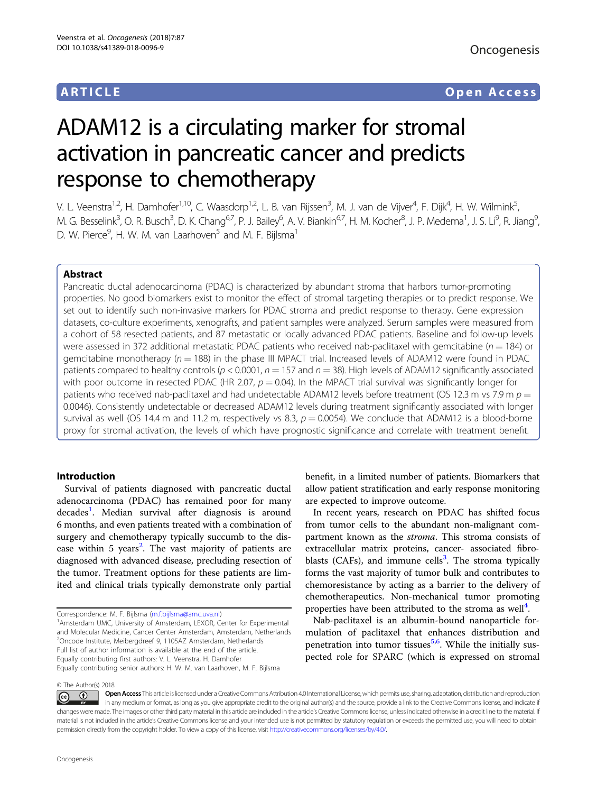# ARTICLE Open Access

# ADAM12 is a circulating marker for stromal activation in pancreatic cancer and predicts response to chemotherapy

V. L. Veenstra<sup>1,2</sup>, H. Damhofer<sup>1,10</sup>, C. Waasdorp<sup>1,2</sup>, L. B. van Rijssen<sup>3</sup>, M. J. van de Vijver<sup>4</sup>, F. Dijk<sup>4</sup>, H. W. Wilmink<sup>5</sup> .<br>. M. G. Besselink<sup>3</sup>, O. R. Busch<sup>3</sup>, D. K. Chang<sup>6,7</sup>, P. J. Bailey<sup>6</sup>, A. V. Biankin<sup>6,7</sup>, H. M. Kocher<sup>8</sup>, J. P. Medema<sup>1</sup>, J. S. Li<sup>9</sup>, R. Jiang<sup>9</sup> י<br>, D. W. Pierce<sup>9</sup>, H. W. M. van Laarhoven<sup>5</sup> and M. F. Bijlsma<sup>1</sup>

# Abstract

Pancreatic ductal adenocarcinoma (PDAC) is characterized by abundant stroma that harbors tumor-promoting properties. No good biomarkers exist to monitor the effect of stromal targeting therapies or to predict response. We set out to identify such non-invasive markers for PDAC stroma and predict response to therapy. Gene expression datasets, co-culture experiments, xenografts, and patient samples were analyzed. Serum samples were measured from a cohort of 58 resected patients, and 87 metastatic or locally advanced PDAC patients. Baseline and follow-up levels were assessed in 372 additional metastatic PDAC patients who received nab-paclitaxel with gemcitabine ( $n = 184$ ) or gemcitabine monotherapy ( $n = 188$ ) in the phase III MPACT trial. Increased levels of ADAM12 were found in PDAC patients compared to healthy controls ( $p < 0.0001$ ,  $n = 157$  and  $n = 38$ ). High levels of ADAM12 significantly associated with poor outcome in resected PDAC (HR 2.07,  $p = 0.04$ ). In the MPACT trial survival was significantly longer for patients who received nab-paclitaxel and had undetectable ADAM12 levels before treatment (OS 12.3 m vs 7.9 m  $p =$ 0.0046). Consistently undetectable or decreased ADAM12 levels during treatment significantly associated with longer survival as well (OS 14.4 m and 11.2 m, respectively vs 8.3,  $p = 0.0054$ ). We conclude that ADAM12 is a blood-borne proxy for stromal activation, the levels of which have prognostic significance and correlate with treatment benefit.

# Introduction

Survival of patients diagnosed with pancreatic ductal adenocarcinoma (PDAC) has remained poor for many decades<sup>[1](#page-9-0)</sup>. Median survival after diagnosis is around 6 months, and even patients treated with a combination of surgery and chemotherapy typically succumb to the dis-ease within 5 years<sup>[2](#page-9-0)</sup>. The vast majority of patients are diagnosed with advanced disease, precluding resection of the tumor. Treatment options for these patients are limited and clinical trials typically demonstrate only partial

benefit, in a limited number of patients. Biomarkers that allow patient stratification and early response monitoring are expected to improve outcome.

In recent years, research on PDAC has shifted focus from tumor cells to the abundant non-malignant compartment known as the stroma. This stroma consists of extracellular matrix proteins, cancer- associated fibroblasts (CAFs), and immune cells $3$ . The stroma typically forms the vast majority of tumor bulk and contributes to chemoresistance by acting as a barrier to the delivery of chemotherapeutics. Non-mechanical tumor promoting properties have been attributed to the stroma as well $4$ .

Nab-paclitaxel is an albumin-bound nanoparticle formulation of paclitaxel that enhances distribution and penetration into tumor tissues<sup>[5,6](#page-9-0)</sup>. While the initially suspected role for SPARC (which is expressed on stromal

© The Author(s) 2018

Correspondence: M. F. Bijlsma [\(m.f.bijlsma@amc.uva.nl](mailto:m.f.bijlsma@amc.uva.nl)) <sup>1</sup>

<sup>&</sup>lt;sup>1</sup> Amsterdam UMC, University of Amsterdam, LEXOR, Center for Experimental and Molecular Medicine, Cancer Center Amsterdam, Amsterdam, Netherlands <sup>2</sup>Oncode Institute, Meibergdreef 9, 1105AZ Amsterdam, Netherlands Full list of author information is available at the end of the article. Equally contributing first authors: V. L. Veenstra, H. Damhofer Equally contributing senior authors: H. W. M. van Laarhoven, M. F. Bijlsma

Open Access This article is licensed under a Creative Commons Attribution 4.0 International License, which permits use, sharing, adaptation, distribution and reproduction  $\overline{\textcircled{\circ}}$ in any medium or format, as long as you give appropriate credit to the original author(s) and the source, provide a link to the Creative Commons license, and indicate if changes were made. The images or other third party material in this article are included in the article's Creative Commons license, unless indicated otherwise in a credit line to the material. If material is not included in the article's Creative Commons license and your intended use is not permitted by statutory regulation or exceeds the permitted use, you will need to obtain permission directly from the copyright holder. To view a copy of this license, visit <http://creativecommons.org/licenses/by/4.0/>.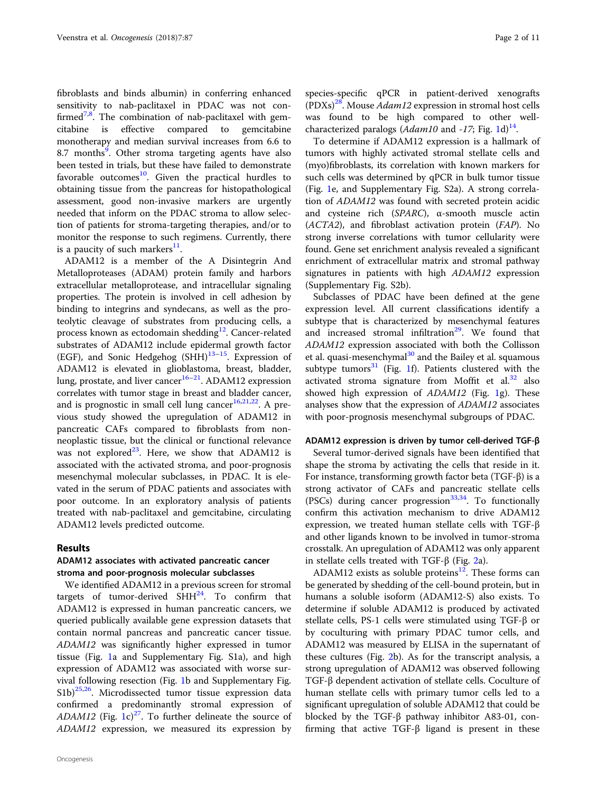fibroblasts and binds albumin) in conferring enhanced sensitivity to nab-paclitaxel in PDAC was not con-firmed<sup>[7](#page-9-0),[8](#page-9-0)</sup>. The combination of nab-paclitaxel with gemcitabine is effective compared to gemcitabine monotherapy and median survival increases from 6.6 to 8.7 months<sup>[9](#page-9-0)</sup>. Other stroma targeting agents have also been tested in trials, but these have failed to demonstrate favorable outcomes $^{10}$ . Given the practical hurdles to obtaining tissue from the pancreas for histopathological assessment, good non-invasive markers are urgently needed that inform on the PDAC stroma to allow selection of patients for stroma-targeting therapies, and/or to monitor the response to such regimens. Currently, there is a paucity of such markers $^{11}$ .

ADAM12 is a member of the A Disintegrin And Metalloproteases (ADAM) protein family and harbors extracellular metalloprotease, and intracellular signaling properties. The protein is involved in cell adhesion by binding to integrins and syndecans, as well as the proteolytic cleavage of substrates from producing cells, a process known as ectodomain shedding $12$ . Cancer-related substrates of ADAM12 include epidermal growth factor (EGF), and Sonic Hedgehog  $(SHH)^{13-15}$  $(SHH)^{13-15}$  $(SHH)^{13-15}$ . Expression of ADAM12 is elevated in glioblastoma, breast, bladder, lung, prostate, and liver cancer<sup>[16](#page-9-0)–[21](#page-9-0)</sup>. ADAM12 expression correlates with tumor stage in breast and bladder cancer, and is prognostic in small cell lung cancer $16,21,22$ . A previous study showed the upregulation of ADAM12 in pancreatic CAFs compared to fibroblasts from nonneoplastic tissue, but the clinical or functional relevance was not explored<sup>23</sup>. Here, we show that ADAM12 is associated with the activated stroma, and poor-prognosis mesenchymal molecular subclasses, in PDAC. It is elevated in the serum of PDAC patients and associates with poor outcome. In an exploratory analysis of patients treated with nab-paclitaxel and gemcitabine, circulating ADAM12 levels predicted outcome.

#### Results

# ADAM12 associates with activated pancreatic cancer stroma and poor-prognosis molecular subclasses

We identified ADAM12 in a previous screen for stromal targets of tumor-derived  $SHH<sup>24</sup>$ . To confirm that ADAM12 is expressed in human pancreatic cancers, we queried publically available gene expression datasets that contain normal pancreas and pancreatic cancer tissue. ADAM12 was significantly higher expressed in tumor tissue (Fig. [1](#page-2-0)a and Supplementary Fig. S1a), and high expression of ADAM12 was associated with worse survival following resection (Fig. [1](#page-2-0)b and Supplementary Fig.  $S1b)^{25,26}$  $S1b)^{25,26}$  $S1b)^{25,26}$  $S1b)^{25,26}$  $S1b)^{25,26}$ . Microdissected tumor tissue expression data confirmed a predominantly stromal expression of ADAM12 (Fig. [1c](#page-2-0))<sup>27</sup>. To further delineate the source of ADAM12 expression, we measured its expression by

species-specific qPCR in patient-derived xenografts  $(PDXs)<sup>28</sup>$  $(PDXs)<sup>28</sup>$  $(PDXs)<sup>28</sup>$ . Mouse Adam12 expression in stromal host cells was found to be high compared to other wellcharacterized paralogs  $(Adam10$  $(Adam10$  $(Adam10$  and -17; Fig. 1d)<sup>[14](#page-9-0)</sup>.

To determine if ADAM12 expression is a hallmark of tumors with highly activated stromal stellate cells and (myo)fibroblasts, its correlation with known markers for such cells was determined by qPCR in bulk tumor tissue (Fig. [1](#page-2-0)e, and Supplementary Fig. S2a). A strong correlation of ADAM12 was found with secreted protein acidic and cysteine rich (SPARC), α-smooth muscle actin (ACTA2), and fibroblast activation protein (FAP). No strong inverse correlations with tumor cellularity were found. Gene set enrichment analysis revealed a significant enrichment of extracellular matrix and stromal pathway signatures in patients with high ADAM12 expression (Supplementary Fig. S2b).

Subclasses of PDAC have been defined at the gene expression level. All current classifications identify a subtype that is characterized by mesenchymal features and increased stromal infiltration $29$ . We found that ADAM12 expression associated with both the Collisson et al. quasi-mesenchymal<sup>[30](#page-9-0)</sup> and the Bailey et al. squamous subtype tumors $31$  (Fig. [1](#page-2-0)f). Patients clustered with the activated stroma signature from Moffit et al. $32$  also showed high expression of ADAM12 (Fig. [1g](#page-2-0)). These analyses show that the expression of ADAM12 associates with poor-prognosis mesenchymal subgroups of PDAC.

#### ADAM12 expression is driven by tumor cell-derived TGF-β

Several tumor-derived signals have been identified that shape the stroma by activating the cells that reside in it. For instance, transforming growth factor beta (TGF-β) is a strong activator of CAFs and pancreatic stellate cells (PSCs) during cancer progression<sup>33,34</sup>. To functionally confirm this activation mechanism to drive ADAM12 expression, we treated human stellate cells with TGF-β and other ligands known to be involved in tumor-stroma crosstalk. An upregulation of ADAM12 was only apparent in stellate cells treated with TGF-β (Fig.  $2a$  $2a$ ).

ADAM12 exists as soluble proteins<sup>12</sup>. These forms can be generated by shedding of the cell-bound protein, but in humans a soluble isoform (ADAM12-S) also exists. To determine if soluble ADAM12 is produced by activated stellate cells, PS-1 cells were stimulated using TGF-β or by coculturing with primary PDAC tumor cells, and ADAM12 was measured by ELISA in the supernatant of these cultures (Fig. [2](#page-3-0)b). As for the transcript analysis, a strong upregulation of ADAM12 was observed following TGF-β dependent activation of stellate cells. Coculture of human stellate cells with primary tumor cells led to a significant upregulation of soluble ADAM12 that could be blocked by the TGF-β pathway inhibitor A83-01, confirming that active TGF-β ligand is present in these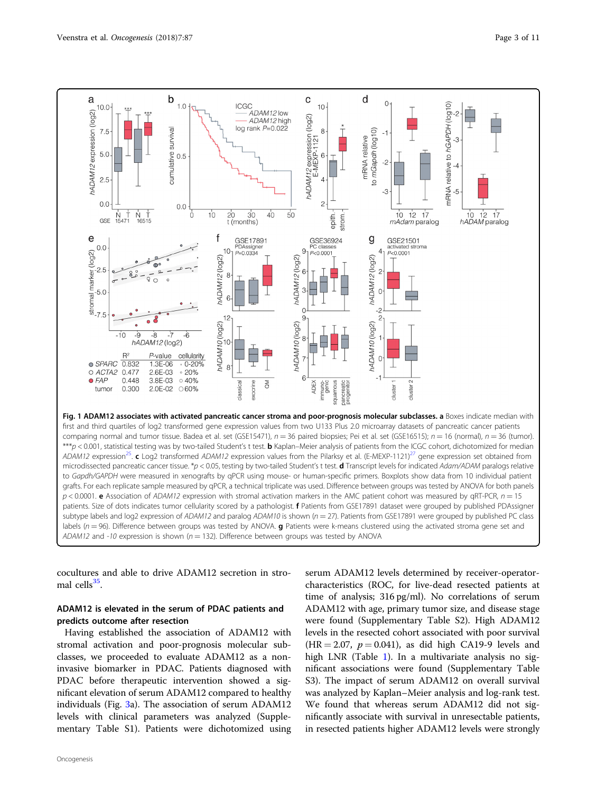<span id="page-2-0"></span>

Fig. 1 ADAM12 associates with activated pancreatic cancer stroma and poor-prognosis molecular subclasses. a Boxes indicate median with first and third quartiles of log2 transformed gene expression values from two U133 Plus 2.0 microarray datasets of pancreatic cancer patients comparing normal and tumor tissue. Badea et al. set (GSE15471),  $n = 36$  paired biopsies; Pei et al. set (GSE16515);  $n = 16$  (normal),  $n = 36$  (tumor).  $***p$  < 0.001, statistical testing was by two-tailed Student's t test. **b** Kaplan–Meier analysis of patients from the ICGC cohort, dichotomized for median ADAM12 expression<sup>[25](#page-9-0)</sup>. c Log2 transformed ADAM12 expression values from the Pilarksy et al. (E-MEXP-1121)<sup>27</sup> gene expression set obtained from microdissected pancreatic cancer tissue. \*p < 0.05, testing by two-tailed Student's t test. d Transcript levels for indicated Adam/ADAM paralogs relative to Gapdh/GAPDH were measured in xenografts by qPCR using mouse- or human-specific primers. Boxplots show data from 10 individual patient grafts. For each replicate sample measured by qPCR, a technical triplicate was used. Difference between groups was tested by ANOVA for both panels  $p$  < 0.0001. **e** Association of ADAM12 expression with stromal activation markers in the AMC patient cohort was measured by qRT-PCR,  $n = 15$ patients. Size of dots indicates tumor cellularity scored by a pathologist. f Patients from GSE17891 dataset were grouped by published PDAssigner subtype labels and log2 expression of ADAM12 and paralog ADAM10 is shown ( $n = 27$ ). Patients from GSE17891 were grouped by published PC class labels ( $n = 96$ ). Difference between groups was tested by ANOVA. **g** Patients were k-means clustered using the activated stroma gene set and ADAM12 and -10 expression is shown ( $n = 132$ ). Difference between groups was tested by ANOVA

cocultures and able to drive ADAM12 secretion in stromal cells $^{35}$ .

# ADAM12 is elevated in the serum of PDAC patients and predicts outcome after resection

Having established the association of ADAM12 with stromal activation and poor-prognosis molecular subclasses, we proceeded to evaluate ADAM12 as a noninvasive biomarker in PDAC. Patients diagnosed with PDAC before therapeutic intervention showed a significant elevation of serum ADAM12 compared to healthy individuals (Fig. [3a](#page-3-0)). The association of serum ADAM12 levels with clinical parameters was analyzed (Supplementary Table S1). Patients were dichotomized using

serum ADAM12 levels determined by receiver-operatorcharacteristics (ROC, for live-dead resected patients at time of analysis; 316 pg/ml). No correlations of serum ADAM12 with age, primary tumor size, and disease stage were found (Supplementary Table S2). High ADAM12 levels in the resected cohort associated with poor survival  $(HR = 2.07, p = 0.041)$ , as did high CA19-9 levels and high LNR (Table [1\)](#page-4-0). In a multivariate analysis no significant associations were found (Supplementary Table S3). The impact of serum ADAM12 on overall survival was analyzed by Kaplan–Meier analysis and log-rank test. We found that whereas serum ADAM12 did not significantly associate with survival in unresectable patients, in resected patients higher ADAM12 levels were strongly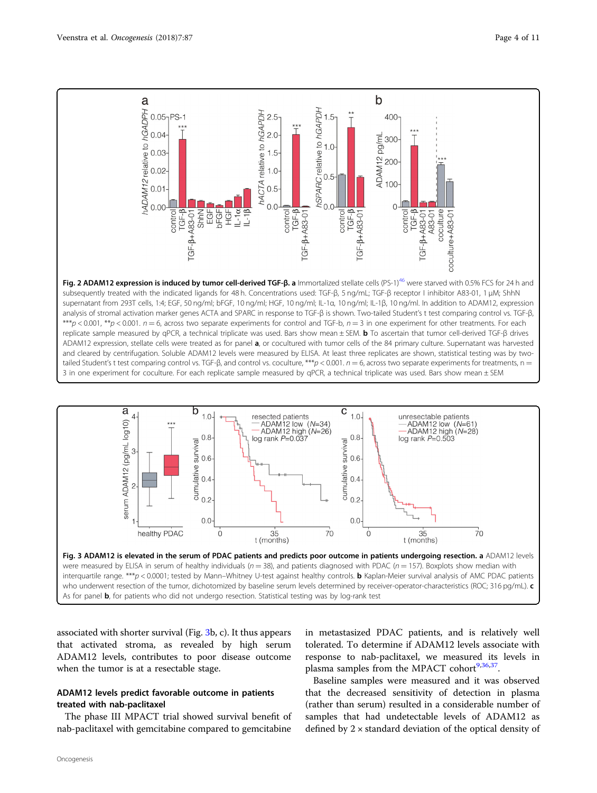<span id="page-3-0"></span>

subsequently treated with the indicated ligands for 48 h. Concentrations used: TGF-β, 5 ng/mL; TGF-β receptor I inhibitor A83-01, 1 µM; ShhN supernatant from 293T cells, 1:4; EGF, 50 ng/ml; bFGF, 10 ng/ml; HGF, 10 ng/ml; IL-1a, 10 ng/ml; IL-1β, 10 ng/ml. In addition to ADAM12, expression analysis of stromal activation marker genes ACTA and SPARC in response to TGF-β is shown. Two-tailed Student's t test comparing control vs. TGF-β, \*\*\*p < 0.001, \*\*p < 0.001.  $n = 6$ , across two separate experiments for control and TGF-b,  $n = 3$  in one experiment for other treatments. For each replicate sample measured by qPCR, a technical triplicate was used. Bars show mean ± SEM. b To ascertain that tumor cell-derived TGF-β drives ADAM12 expression, stellate cells were treated as for panel a, or cocultured with tumor cells of the 84 primary culture. Supernatant was harvested and cleared by centrifugation. Soluble ADAM12 levels were measured by ELISA. At least three replicates are shown, statistical testing was by twotailed Student's t test comparing control vs. TGF-β, and control vs. coculture, \*\*\*p < 0.001.  $n = 6$ , across two separate experiments for treatments,  $n =$ 3 in one experiment for coculture. For each replicate sample measured by qPCR, a technical triplicate was used. Bars show mean ± SEM



associated with shorter survival (Fig. 3b, c). It thus appears that activated stroma, as revealed by high serum ADAM12 levels, contributes to poor disease outcome when the tumor is at a resectable stage.

# ADAM12 levels predict favorable outcome in patients treated with nab-paclitaxel

The phase III MPACT trial showed survival benefit of nab-paclitaxel with gemcitabine compared to gemcitabine

in metastasized PDAC patients, and is relatively well tolerated. To determine if ADAM12 levels associate with response to nab-paclitaxel, we measured its levels in plasma samples from the MPACT cohort $9,36,37$ .

Baseline samples were measured and it was observed that the decreased sensitivity of detection in plasma (rather than serum) resulted in a considerable number of samples that had undetectable levels of ADAM12 as defined by  $2 \times$  standard deviation of the optical density of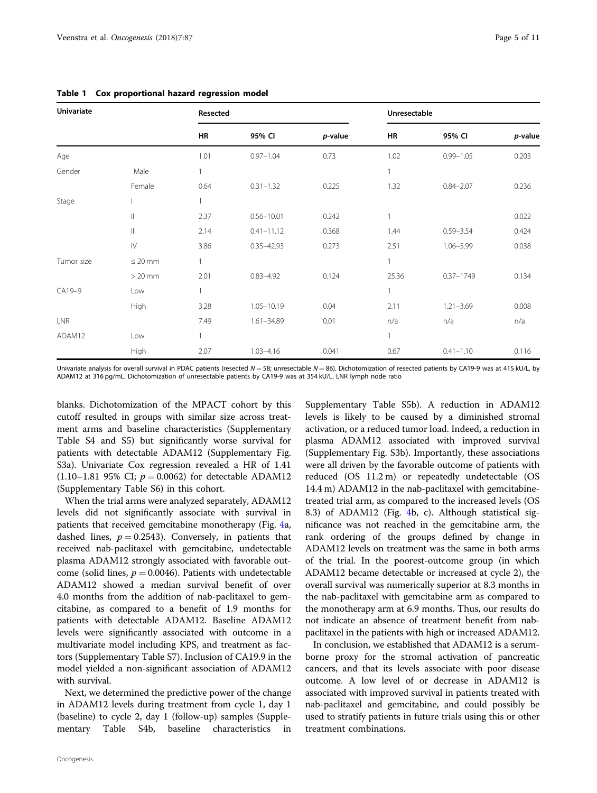| <b>Univariate</b> |               | Resected     |                |         | Unresectable |               |         |
|-------------------|---------------|--------------|----------------|---------|--------------|---------------|---------|
|                   |               | <b>HR</b>    | 95% CI         | p-value | <b>HR</b>    | 95% CI        | p-value |
| Age               |               | 1.01         | $0.97 - 1.04$  | 0.73    | 1.02         | $0.99 - 1.05$ | 0.203   |
| Gender            | Male          | $\mathbf{1}$ |                |         | 1            |               |         |
|                   | Female        | 0.64         | $0.31 - 1.32$  | 0.225   | 1.32         | $0.84 - 2.07$ | 0.236   |
| Stage             |               | $\mathbf{1}$ |                |         |              |               |         |
|                   | 11            | 2.37         | $0.56 - 10.01$ | 0.242   | 1            |               | 0.022   |
|                   | $\  \ $       | 2.14         | $0.41 - 11.12$ | 0.368   | 1.44         | $0.59 - 3.54$ | 0.424   |
|                   | $\mathsf{IV}$ | 3.86         | $0.35 - 42.93$ | 0.273   | 2.51         | $1.06 - 5.99$ | 0.038   |
| Tumor size        | $\leq 20$ mm  | $\mathbf{1}$ |                |         | 1            |               |         |
|                   | $>$ 20 mm     | 2.01         | $0.83 - 4.92$  | 0.124   | 25.36        | $0.37 - 1749$ | 0.134   |
| CA19-9            | Low           | 1            |                |         | 1            |               |         |
|                   | High          | 3.28         | $1.05 - 10.19$ | 0.04    | 2.11         | $1.21 - 3.69$ | 0.008   |
| <b>LNR</b>        |               | 7.49         | $1.61 - 34.89$ | 0.01    | n/a          | n/a           | n/a     |
| ADAM12            | Low           | $\mathbf{1}$ |                |         | 1            |               |         |
|                   | High          | 2.07         | $1.03 - 4.16$  | 0.041   | 0.67         | $0.41 - 1.10$ | 0.116   |

#### <span id="page-4-0"></span>Table 1 Cox proportional hazard regression model

Univariate analysis for overall survival in PDAC patients (resected  $N = 58$ ; unresectable  $N = 86$ ). Dichotomization of resected patients by CA19-9 was at 415 kU/L, by ADAM12 at 316 pg/mL. Dichotomization of unresectable patients by CA19-9 was at 354 kU/L. LNR lymph node ratio

blanks. Dichotomization of the MPACT cohort by this cutoff resulted in groups with similar size across treatment arms and baseline characteristics (Supplementary Table S4 and S5) but significantly worse survival for patients with detectable ADAM12 (Supplementary Fig. S3a). Univariate Cox regression revealed a HR of 1.41 (1.10–1.81 95% CI;  $p = 0.0062$ ) for detectable ADAM12 (Supplementary Table S6) in this cohort.

When the trial arms were analyzed separately, ADAM12 levels did not significantly associate with survival in patients that received gemcitabine monotherapy (Fig. [4](#page-5-0)a, dashed lines,  $p = 0.2543$ ). Conversely, in patients that received nab-paclitaxel with gemcitabine, undetectable plasma ADAM12 strongly associated with favorable outcome (solid lines,  $p = 0.0046$ ). Patients with undetectable ADAM12 showed a median survival benefit of over 4.0 months from the addition of nab-paclitaxel to gemcitabine, as compared to a benefit of 1.9 months for patients with detectable ADAM12. Baseline ADAM12 levels were significantly associated with outcome in a multivariate model including KPS, and treatment as factors (Supplementary Table S7). Inclusion of CA19.9 in the model yielded a non-significant association of ADAM12 with survival.

Next, we determined the predictive power of the change in ADAM12 levels during treatment from cycle 1, day 1 (baseline) to cycle 2, day 1 (follow-up) samples (Supplementary Table S4b, baseline characteristics in

Oncogenesis

Supplementary Table S5b). A reduction in ADAM12 levels is likely to be caused by a diminished stromal activation, or a reduced tumor load. Indeed, a reduction in plasma ADAM12 associated with improved survival (Supplementary Fig. S3b). Importantly, these associations were all driven by the favorable outcome of patients with reduced (OS 11.2 m) or repeatedly undetectable (OS 14.4 m) ADAM12 in the nab-paclitaxel with gemcitabinetreated trial arm, as compared to the increased levels (OS 8.3) of ADAM12 (Fig. [4b](#page-5-0), c). Although statistical significance was not reached in the gemcitabine arm, the rank ordering of the groups defined by change in ADAM12 levels on treatment was the same in both arms of the trial. In the poorest-outcome group (in which ADAM12 became detectable or increased at cycle 2), the overall survival was numerically superior at 8.3 months in the nab-paclitaxel with gemcitabine arm as compared to the monotherapy arm at 6.9 months. Thus, our results do not indicate an absence of treatment benefit from nabpaclitaxel in the patients with high or increased ADAM12.

In conclusion, we established that ADAM12 is a serumborne proxy for the stromal activation of pancreatic cancers, and that its levels associate with poor disease outcome. A low level of or decrease in ADAM12 is associated with improved survival in patients treated with nab-paclitaxel and gemcitabine, and could possibly be used to stratify patients in future trials using this or other treatment combinations.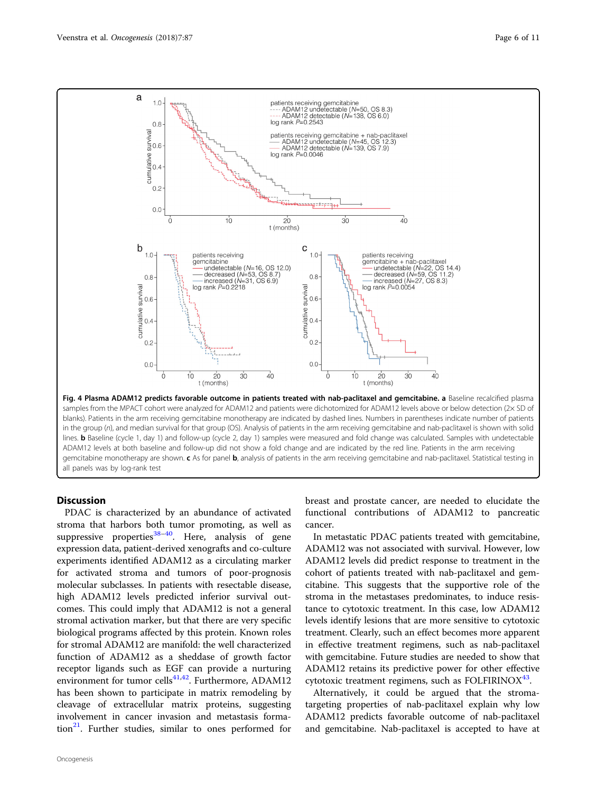<span id="page-5-0"></span>

samples from the MPACT cohort were analyzed for ADAM12 and patients were dichotomized for ADAM12 levels above or below detection (2× SD of blanks). Patients in the arm receiving gemcitabine monotherapy are indicated by dashed lines. Numbers in parentheses indicate number of patients in the group (n), and median survival for that group (OS). Analysis of patients in the arm receiving gemcitabine and nab-paclitaxel is shown with solid lines. **b** Baseline (cycle 1, day 1) and follow-up (cycle 2, day 1) samples were measured and fold change was calculated. Samples with undetectable ADAM12 levels at both baseline and follow-up did not show a fold change and are indicated by the red line. Patients in the arm receiving gemcitabine monotherapy are shown. c As for panel b, analysis of patients in the arm receiving gemcitabine and nab-paclitaxel. Statistical testing in all panels was by log-rank test

## **Discussion**

PDAC is characterized by an abundance of activated stroma that harbors both tumor promoting, as well as suppressive properties  $38-40$  $38-40$  $38-40$ . Here, analysis of gene expression data, patient-derived xenografts and co-culture experiments identified ADAM12 as a circulating marker for activated stroma and tumors of poor-prognosis molecular subclasses. In patients with resectable disease, high ADAM12 levels predicted inferior survival outcomes. This could imply that ADAM12 is not a general stromal activation marker, but that there are very specific biological programs affected by this protein. Known roles for stromal ADAM12 are manifold: the well characterized function of ADAM12 as a sheddase of growth factor receptor ligands such as EGF can provide a nurturing environment for tumor cells $41,42$ . Furthermore, ADAM12 has been shown to participate in matrix remodeling by cleavage of extracellular matrix proteins, suggesting involvement in cancer invasion and metastasis forma- $\text{tion}^{21}$  $\text{tion}^{21}$  $\text{tion}^{21}$ . Further studies, similar to ones performed for breast and prostate cancer, are needed to elucidate the functional contributions of ADAM12 to pancreatic cancer.

In metastatic PDAC patients treated with gemcitabine, ADAM12 was not associated with survival. However, low ADAM12 levels did predict response to treatment in the cohort of patients treated with nab-paclitaxel and gemcitabine. This suggests that the supportive role of the stroma in the metastases predominates, to induce resistance to cytotoxic treatment. In this case, low ADAM12 levels identify lesions that are more sensitive to cytotoxic treatment. Clearly, such an effect becomes more apparent in effective treatment regimens, such as nab-paclitaxel with gemcitabine. Future studies are needed to show that ADAM12 retains its predictive power for other effective cytotoxic treatment regimens, such as FOLFIRINO $X^{43}$  $X^{43}$  $X^{43}$ .

Alternatively, it could be argued that the stromatargeting properties of nab-paclitaxel explain why low ADAM12 predicts favorable outcome of nab-paclitaxel and gemcitabine. Nab-paclitaxel is accepted to have at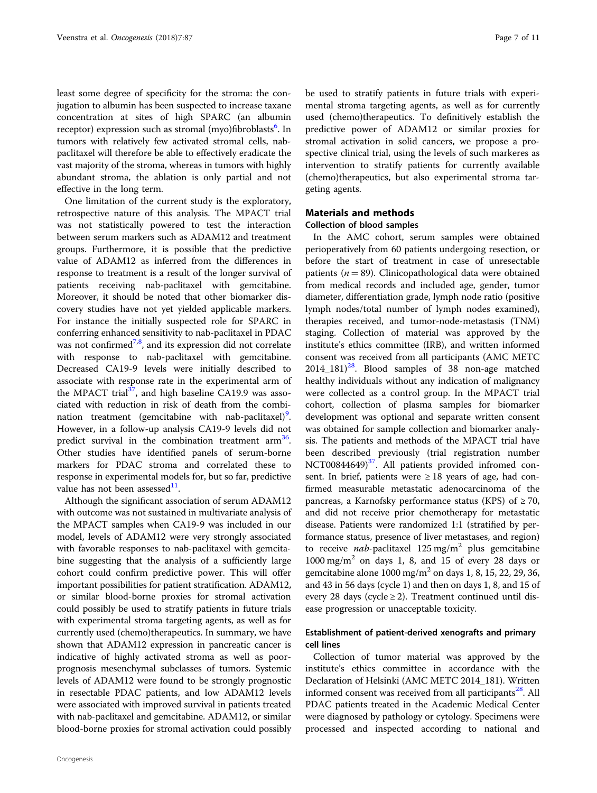least some degree of specificity for the stroma: the conjugation to albumin has been suspected to increase taxane concentration at sites of high SPARC (an albumin receptor) expression such as stromal (myo)fibroblasts<sup>6</sup>. In tumors with relatively few activated stromal cells, nabpaclitaxel will therefore be able to effectively eradicate the vast majority of the stroma, whereas in tumors with highly abundant stroma, the ablation is only partial and not effective in the long term.

One limitation of the current study is the exploratory, retrospective nature of this analysis. The MPACT trial was not statistically powered to test the interaction between serum markers such as ADAM12 and treatment groups. Furthermore, it is possible that the predictive value of ADAM12 as inferred from the differences in response to treatment is a result of the longer survival of patients receiving nab-paclitaxel with gemcitabine. Moreover, it should be noted that other biomarker discovery studies have not yet yielded applicable markers. For instance the initially suspected role for SPARC in conferring enhanced sensitivity to nab-paclitaxel in PDAC was not confirmed<sup>[7](#page-9-0),[8](#page-9-0)</sup>, and its expression did not correlate with response to nab-paclitaxel with gemcitabine. Decreased CA19-9 levels were initially described to associate with response rate in the experimental arm of the MPACT trial<sup>[37](#page-9-0)</sup>, and high baseline CA19.9 was associated with reduction in risk of death from the combi-nation treatment (gemcitabine with nab-paclitaxel)<sup>[9](#page-9-0)</sup>. However, in a follow-up analysis CA19-9 levels did not predict survival in the combination treatment  $arm<sup>36</sup>$ . Other studies have identified panels of serum-borne markers for PDAC stroma and correlated these to response in experimental models for, but so far, predictive value has not been assessed $^{11}$ .

Although the significant association of serum ADAM12 with outcome was not sustained in multivariate analysis of the MPACT samples when CA19-9 was included in our model, levels of ADAM12 were very strongly associated with favorable responses to nab-paclitaxel with gemcitabine suggesting that the analysis of a sufficiently large cohort could confirm predictive power. This will offer important possibilities for patient stratification. ADAM12, or similar blood-borne proxies for stromal activation could possibly be used to stratify patients in future trials with experimental stroma targeting agents, as well as for currently used (chemo)therapeutics. In summary, we have shown that ADAM12 expression in pancreatic cancer is indicative of highly activated stroma as well as poorprognosis mesenchymal subclasses of tumors. Systemic levels of ADAM12 were found to be strongly prognostic in resectable PDAC patients, and low ADAM12 levels were associated with improved survival in patients treated with nab-paclitaxel and gemcitabine. ADAM12, or similar blood-borne proxies for stromal activation could possibly be used to stratify patients in future trials with experimental stroma targeting agents, as well as for currently used (chemo)therapeutics. To definitively establish the predictive power of ADAM12 or similar proxies for stromal activation in solid cancers, we propose a prospective clinical trial, using the levels of such markeres as intervention to stratify patients for currently available (chemo)therapeutics, but also experimental stroma targeting agents.

# Materials and methods

# Collection of blood samples

In the AMC cohort, serum samples were obtained perioperatively from 60 patients undergoing resection, or before the start of treatment in case of unresectable patients ( $n = 89$ ). Clinicopathological data were obtained from medical records and included age, gender, tumor diameter, differentiation grade, lymph node ratio (positive lymph nodes/total number of lymph nodes examined), therapies received, and tumor-node-metastasis (TNM) staging. Collection of material was approved by the institute's ethics committee (IRB), and written informed consent was received from all participants (AMC METC  $2014\_181$ <sup>[28](#page-9-0)</sup>. Blood samples of 38 non-age matched healthy individuals without any indication of malignancy were collected as a control group. In the MPACT trial cohort, collection of plasma samples for biomarker development was optional and separate written consent was obtained for sample collection and biomarker analysis. The patients and methods of the MPACT trial have been described previously (trial registration number NCT00844649 $37$ . All patients provided infromed consent. In brief, patients were  $\geq 18$  years of age, had confirmed measurable metastatic adenocarcinoma of the pancreas, a Karnofsky performance status (KPS) of  $\geq$  70, and did not receive prior chemotherapy for metastatic disease. Patients were randomized 1:1 (stratified by performance status, presence of liver metastases, and region) to receive *nab*-paclitaxel 125 mg/m<sup>2</sup> plus gemcitabine  $1000 \text{ mg/m}^2$  on days 1, 8, and 15 of every 28 days or gemcitabine alone 1000 mg/m<sup>2</sup> on days 1, 8, 15, 22, 29, 36, and 43 in 56 days (cycle 1) and then on days 1, 8, and 15 of every 28 days (cycle  $\geq$  2). Treatment continued until disease progression or unacceptable toxicity.

# Establishment of patient-derived xenografts and primary cell lines

Collection of tumor material was approved by the institute's ethics committee in accordance with the Declaration of Helsinki (AMC METC 2014\_181). Written informed consent was received from all participants<sup>28</sup>. All PDAC patients treated in the Academic Medical Center were diagnosed by pathology or cytology. Specimens were processed and inspected according to national and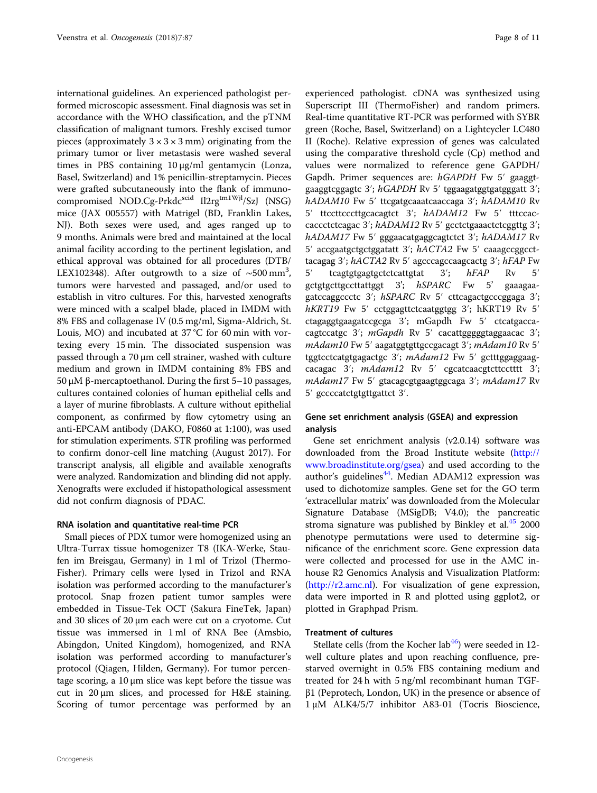international guidelines. An experienced pathologist performed microscopic assessment. Final diagnosis was set in accordance with the WHO classification, and the pTNM classification of malignant tumors. Freshly excised tumor pieces (approximately  $3 \times 3 \times 3$  mm) originating from the primary tumor or liver metastasis were washed several times in PBS containing 10 µg/ml gentamycin (Lonza, Basel, Switzerland) and 1% penicillin-streptamycin. Pieces were grafted subcutaneously into the flank of immunocompromised NOD.Cg-Prkdcscid Il2rgtm1Wjl/SzJ (NSG) mice (JAX 005557) with Matrigel (BD, Franklin Lakes, NJ). Both sexes were used, and ages ranged up to 9 months. Animals were bred and maintained at the local animal facility according to the pertinent legislation, and ethical approval was obtained for all procedures (DTB/ LEX102348). After outgrowth to a size of ~500 mm<sup>3</sup>, tumors were harvested and passaged, and/or used to establish in vitro cultures. For this, harvested xenografts were minced with a scalpel blade, placed in IMDM with 8% FBS and collagenase IV (0.5 mg/ml, Sigma-Aldrich, St. Louis, MO) and incubated at 37 °C for 60 min with vortexing every 15 min. The dissociated suspension was passed through a 70 µm cell strainer, washed with culture medium and grown in IMDM containing 8% FBS and 50 µM β-mercaptoethanol. During the first 5–10 passages, cultures contained colonies of human epithelial cells and a layer of murine fibroblasts. A culture without epithelial component, as confirmed by flow cytometry using an anti-EPCAM antibody (DAKO, F0860 at 1:100), was used for stimulation experiments. STR profiling was performed to confirm donor-cell line matching (August 2017). For transcript analysis, all eligible and available xenografts were analyzed. Randomization and blinding did not apply. Xenografts were excluded if histopathological assessment did not confirm diagnosis of PDAC.

#### RNA isolation and quantitative real-time PCR

Small pieces of PDX tumor were homogenized using an Ultra-Turrax tissue homogenizer T8 (IKA-Werke, Staufen im Breisgau, Germany) in 1 ml of Trizol (Thermo-Fisher). Primary cells were lysed in Trizol and RNA isolation was performed according to the manufacturer's protocol. Snap frozen patient tumor samples were embedded in Tissue-Tek OCT (Sakura FineTek, Japan) and 30 slices of 20 µm each were cut on a cryotome. Cut tissue was immersed in 1 ml of RNA Bee (Amsbio, Abingdon, United Kingdom), homogenized, and RNA isolation was performed according to manufacturer's protocol (Qiagen, Hilden, Germany). For tumor percentage scoring, a  $10 \mu m$  slice was kept before the tissue was cut in  $20 \mu m$  slices, and processed for H&E staining. Scoring of tumor percentage was performed by an

experienced pathologist. cDNA was synthesized using Superscript III (ThermoFisher) and random primers. Real-time quantitative RT-PCR was performed with SYBR green (Roche, Basel, Switzerland) on a Lightcycler LC480 II (Roche). Relative expression of genes was calculated using the comparative threshold cycle (Cp) method and values were normalized to reference gene GAPDH/ Gapdh. Primer sequences are: hGAPDH Fw 5′ gaaggtgaaggtcggagtc 3′; hGAPDH Rv 5′ tggaagatggtgatgggatt 3′; hADAM10 Fw 5' ttcgatgcaaatcaaccaga 3'; hADAM10 Rv 5′ ttccttcccttgcacagtct 3′; hADAM12 Fw 5′ tttccaccaccctctcagac 3'; hADAM12 Rv 5' gcctctgaaactctcggttg 3'; hADAM17 Fw 5' gggaacatgaggcagtctct 3'; hADAM17 Rv 5′ accgaatgctgctggatatt 3′; hACTA2 Fw 5′ caaagccggccttacagag 3'; hACTA2 Rv 5' agcccagccaagcactg 3'; hFAP Fw 5′ tcagtgtgagtgctctcattgtat 3′; hFAP Rv 5′ gctgtgcttgccttattggt 3'; hSPARC Fw 5' gaaagaagatccaggccctc 3′; hSPARC Rv 5′ cttcagactgcccggaga 3′; hKRT19 Fw 5' cctggagttctcaatggtgg 3'; hKRT19 Rv 5' ctagaggtgaagatccgcga 3′; mGapdh Fw 5′ ctcatgaccacagtccatgc 3'; mGapdh Rv 5' cacattgggggtaggaacac 3'; mAdam10 Fw 5' aagatggtgttgccgacagt 3'; mAdam10 Rv 5' tggtcctcatgtgagactgc 3'; mAdam12 Fw 5' gctttggaggaagcacagac 3′; mAdam12 Rv 5′ cgcatcaacgtcttcctttt 3′; mAdam17 Fw 5' gtacagcgtgaagtggcaga 3'; mAdam17 Rv 5′ gccccatctgtgttgattct 3′.

# Gene set enrichment analysis (GSEA) and expression analysis

Gene set enrichment analysis (v2.0.14) software was downloaded from the Broad Institute website ([http://](http://www.broadinstitute.org/gsea) [www.broadinstitute.org/gsea](http://www.broadinstitute.org/gsea)) and used according to the author's guidelines $44$ . Median ADAM12 expression was used to dichotomize samples. Gene set for the GO term 'extracellular matrix' was downloaded from the Molecular Signature Database (MSigDB; V4.0); the pancreatic stroma signature was published by Binkley et al. $45$  2000 phenotype permutations were used to determine significance of the enrichment score. Gene expression data were collected and processed for use in the AMC inhouse R2 Genomics Analysis and Visualization Platform: ([http://r2.amc.nl\)](http://r2.amc.nl). For visualization of gene expression, data were imported in R and plotted using ggplot2, or plotted in Graphpad Prism.

# Treatment of cultures

Stellate cells (from the Kocher lab<sup>[46](#page-10-0)</sup>) were seeded in 12well culture plates and upon reaching confluence, prestarved overnight in 0.5% FBS containing medium and treated for 24 h with 5 ng/ml recombinant human TGFβ1 (Peprotech, London, UK) in the presence or absence of 1 µM ALK4/5/7 inhibitor A83-01 (Tocris Bioscience,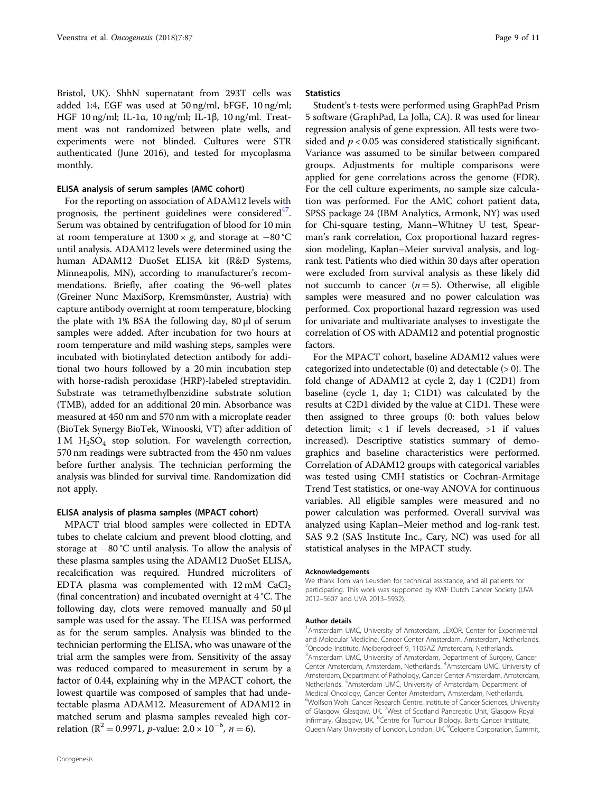Bristol, UK). ShhN supernatant from 293T cells was added 1:4, EGF was used at 50 ng/ml, bFGF, 10 ng/ml; HGF 10 ng/ml; IL-1α, 10 ng/ml; IL-1β, 10 ng/ml. Treatment was not randomized between plate wells, and experiments were not blinded. Cultures were STR authenticated (June 2016), and tested for mycoplasma monthly.

#### ELISA analysis of serum samples (AMC cohort)

For the reporting on association of ADAM12 levels with prognosis, the pertinent guidelines were considered $47$ . Serum was obtained by centrifugation of blood for 10 min at room temperature at 1300 × g, and storage at  $-80^{\circ}$ C until analysis. ADAM12 levels were determined using the human ADAM12 DuoSet ELISA kit (R&D Systems, Minneapolis, MN), according to manufacturer's recommendations. Briefly, after coating the 96-well plates (Greiner Nunc MaxiSorp, Kremsmünster, Austria) with capture antibody overnight at room temperature, blocking the plate with  $1\%$  BSA the following day,  $80 \mu l$  of serum samples were added. After incubation for two hours at room temperature and mild washing steps, samples were incubated with biotinylated detection antibody for additional two hours followed by a 20 min incubation step with horse-radish peroxidase (HRP)-labeled streptavidin. Substrate was tetramethylbenzidine substrate solution (TMB), added for an additional 20 min. Absorbance was measured at 450 nm and 570 nm with a microplate reader (BioTek Synergy BioTek, Winooski, VT) after addition of  $1 M H<sub>2</sub> SO<sub>4</sub>$  stop solution. For wavelength correction, 570 nm readings were subtracted from the 450 nm values before further analysis. The technician performing the analysis was blinded for survival time. Randomization did not apply.

## ELISA analysis of plasma samples (MPACT cohort)

MPACT trial blood samples were collected in EDTA tubes to chelate calcium and prevent blood clotting, and storage at −80 °C until analysis. To allow the analysis of these plasma samples using the ADAM12 DuoSet ELISA, recalcification was required. Hundred microliters of EDTA plasma was complemented with  $12 \text{ mM }$  CaCl<sub>2</sub> (final concentration) and incubated overnight at 4 °C. The following day, clots were removed manually and  $50 \mu l$ sample was used for the assay. The ELISA was performed as for the serum samples. Analysis was blinded to the technician performing the ELISA, who was unaware of the trial arm the samples were from. Sensitivity of the assay was reduced compared to measurement in serum by a factor of 0.44, explaining why in the MPACT cohort, the lowest quartile was composed of samples that had undetectable plasma ADAM12. Measurement of ADAM12 in matched serum and plasma samples revealed high correlation ( $R^2 = 0.9971$ , *p*-value:  $2.0 \times 10^{-6}$ ,  $n = 6$ ).

#### **Statistics**

Student's t-tests were performed using GraphPad Prism 5 software (GraphPad, La Jolla, CA). R was used for linear regression analysis of gene expression. All tests were twosided and  $p < 0.05$  was considered statistically significant. Variance was assumed to be similar between compared groups. Adjustments for multiple comparisons were applied for gene correlations across the genome (FDR). For the cell culture experiments, no sample size calculation was performed. For the AMC cohort patient data, SPSS package 24 (IBM Analytics, Armonk, NY) was used for Chi-square testing, Mann–Whitney U test, Spearman's rank correlation, Cox proportional hazard regression modeling, Kaplan–Meier survival analysis, and logrank test. Patients who died within 30 days after operation were excluded from survival analysis as these likely did not succumb to cancer  $(n = 5)$ . Otherwise, all eligible samples were measured and no power calculation was performed. Cox proportional hazard regression was used for univariate and multivariate analyses to investigate the correlation of OS with ADAM12 and potential prognostic factors.

For the MPACT cohort, baseline ADAM12 values were categorized into undetectable (0) and detectable (> 0). The fold change of ADAM12 at cycle 2, day 1 (C2D1) from baseline (cycle 1, day 1; C1D1) was calculated by the results at C2D1 divided by the value at C1D1. These were then assigned to three groups (0: both values below detection limit; < 1 if levels decreased, >1 if values increased). Descriptive statistics summary of demographics and baseline characteristics were performed. Correlation of ADAM12 groups with categorical variables was tested using CMH statistics or Cochran-Armitage Trend Test statistics, or one-way ANOVA for continuous variables. All eligible samples were measured and no power calculation was performed. Overall survival was analyzed using Kaplan–Meier method and log-rank test. SAS 9.2 (SAS Institute Inc., Cary, NC) was used for all statistical analyses in the MPACT study.

#### Acknowledgements

We thank Tom van Leusden for technical assistance, and all patients for participating. This work was supported by KWF Dutch Cancer Society (UVA 2012–5607 and UVA 2013–5932).

#### Author details

<sup>1</sup> Amsterdam UMC, University of Amsterdam, LEXOR, Center for Experimental and Molecular Medicine, Cancer Center Amsterdam, Amsterdam, Netherlands. 2 Oncode Institute, Meibergdreef 9, 1105AZ Amsterdam, Netherlands. <sup>3</sup> Amsterdam UMC, University of Amsterdam, Department of Surgery, Cancer Center Amsterdam, Amsterdam, Netherlands. <sup>4</sup>Amsterdam UMC, University of Amsterdam, Department of Pathology, Cancer Center Amsterdam, Amsterdam, Netherlands. <sup>5</sup>Amsterdam UMC, University of Amsterdam, Department of Medical Oncology, Cancer Center Amsterdam, Amsterdam, Netherlands. 6 Wolfson Wohl Cancer Research Centre, Institute of Cancer Sciences, University of Glasgow, Glasgow, UK. <sup>7</sup>West of Scotland Pancreatic Unit, Glasgow Royal Infirmary, Glasgow, UK. <sup>8</sup>Centre for Tumour Biology, Barts Cancer Institute, Queen Mary University of London, London, UK. <sup>9</sup>Celgene Corporation, Summit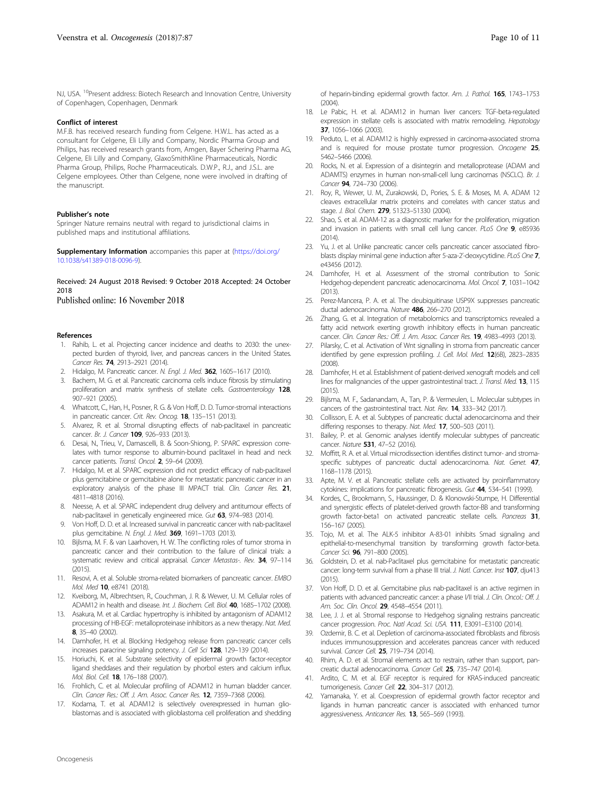<span id="page-9-0"></span>NJ, USA. <sup>10</sup>Present address: Biotech Research and Innovation Centre, University of Copenhagen, Copenhagen, Denmark

#### Conflict of interest

M.F.B. has received research funding from Celgene. H.W.L. has acted as a consultant for Celgene, Eli Lilly and Company, Nordic Pharma Group and Philips, has received research grants from, Amgen, Bayer Schering Pharma AG, Celgene, Eli Lilly and Company, GlaxoSmithKline Pharmaceuticals, Nordic Pharma Group, Philips, Roche Pharmaceuticals. D.W.P., R.J., and J.S.L. are Celgene employees. Other than Celgene, none were involved in drafting of the manuscript.

#### Publisher's note

Springer Nature remains neutral with regard to jurisdictional claims in published maps and institutional affiliations.

Supplementary Information accompanies this paper at ([https://doi.org/](https://doi.org/10.1038/s41389-018-0096-9) [10.1038/s41389-018-0096-9\)](https://doi.org/10.1038/s41389-018-0096-9).

#### Received: 24 August 2018 Revised: 9 October 2018 Accepted: 24 October 2018

Published online: 16 November 2018

#### References

- 1. Rahib, L. et al. Projecting cancer incidence and deaths to 2030: the unexpected burden of thyroid, liver, and pancreas cancers in the United States. Cancer Res. 74, 2913–2921 (2014).
- 2. Hidalgo, M. Pancreatic cancer. N. Engl. J. Med. 362, 1605-1617 (2010).
- Bachem, M. G. et al. Pancreatic carcinoma cells induce fibrosis by stimulating proliferation and matrix synthesis of stellate cells. Gastroenterology 128, 907–921 (2005).
- 4. Whatcott, C., Han, H., Posner, R. G. & Von Hoff, D. D. Tumor-stromal interactions in pancreatic cancer. Crit. Rev. Oncog. 18, 135-151 (2013).
- 5. Alvarez, R. et al. Stromal disrupting effects of nab-paclitaxel in pancreatic cancer. Br. J. Cancer 109, 926-933 (2013).
- 6. Desai, N., Trieu, V., Damascelli, B. & Soon-Shiong, P. SPARC expression correlates with tumor response to albumin-bound paclitaxel in head and neck cancer patients. Transl. Oncol. 2, 59-64 (2009).
- 7. Hidalgo, M. et al. SPARC expression did not predict efficacy of nab-paclitaxel plus gemcitabine or gemcitabine alone for metastatic pancreatic cancer in an exploratory analysis of the phase III MPACT trial. Clin. Cancer Res. 21, 4811–4818 (2016).
- 8. Neesse, A. et al. SPARC independent drug delivery and antitumour effects of nab-paclitaxel in genetically engineered mice. Gut 63, 974-983 (2014).
- 9. Von Hoff, D. D. et al. Increased survival in pancreatic cancer with nab-paclitaxel plus gemcitabine. N. Engl. J. Med. 369, 1691–1703 (2013).
- 10. Bijlsma, M. F. & van Laarhoven, H. W. The conflicting roles of tumor stroma in pancreatic cancer and their contribution to the failure of clinical trials: a systematic review and critical appraisal. Cancer Metastas-. Rev. 34, 97-114 (2015).
- 11. Resovi, A. et al. Soluble stroma-related biomarkers of pancreatic cancer. EMBO Mol. Med 10. e8741 (2018).
- 12. Kveiborg, M., Albrechtsen, R., Couchman, J. R. & Wewer, U. M. Cellular roles of ADAM12 in health and disease. Int. J. Biochem. Cell. Biol. 40, 1685–1702 (2008).
- 13. Asakura, M. et al. Cardiac hypertrophy is inhibited by antagonism of ADAM12 processing of HB-EGF: metalloproteinase inhibitors as a new therapy. Nat. Med. 8, 35–40 (2002).
- 14. Damhofer, H. et al. Blocking Hedgehog release from pancreatic cancer cells increases paracrine signaling potency. J. Cell Sci 128, 129-139 (2014).
- 15. Horiuchi, K. et al. Substrate selectivity of epidermal growth factor-receptor ligand sheddases and their regulation by phorbol esters and calcium influx. Mol. Biol. Cell. 18, 176–188 (2007).
- 16. Frohlich, C. et al. Molecular profiling of ADAM12 in human bladder cancer. Clin. Cancer Res.: Off. J. Am. Assoc. Cancer Res. 12, 7359–7368 (2006).
- 17. Kodama, T. et al. ADAM12 is selectively overexpressed in human glioblastomas and is associated with glioblastoma cell proliferation and shedding

of heparin-binding epidermal growth factor. Am. J. Pathol. 165, 1743–1753 (2004).

- 18. Le Pabic, H. et al. ADAM12 in human liver cancers: TGF-beta-regulated expression in stellate cells is associated with matrix remodeling. Hepatology 37, 1056–1066 (2003).
- 19. Peduto, L. et al. ADAM12 is highly expressed in carcinoma-associated stroma and is required for mouse prostate tumor progression. Oncogene 25, 5462–5466 (2006).
- 20. Rocks, N. et al. Expression of a disintegrin and metalloprotease (ADAM and ADAMTS) enzymes in human non-small-cell lung carcinomas (NSCLC). Br. J. Cancer **94**, 724-730 (2006).
- 21. Roy, R., Wewer, U. M., Zurakowski, D., Pories, S. E. & Moses, M. A. ADAM 12 cleaves extracellular matrix proteins and correlates with cancer status and stage. J. Biol. Chem. 279, 51323-51330 (2004).
- Shao, S. et al. ADAM-12 as a diagnostic marker for the proliferation, migration and invasion in patients with small cell lung cancer. PLoS One 9, e85936 (2014).
- 23. Yu, J. et al. Unlike pancreatic cancer cells pancreatic cancer associated fibroblasts display minimal gene induction after 5-aza-2'-deoxycytidine. PLoS One 7, e43456 (2012).
- 24. Damhofer, H. et al. Assessment of the stromal contribution to Sonic Hedgehog-dependent pancreatic adenocarcinoma. Mol. Oncol. 7, 1031–1042 (2013).
- 25. Perez-Mancera, P. A. et al. The deubiquitinase USP9X suppresses pancreatic ductal adenocarcinoma. Nature 486, 266-270 (2012).
- 26. Zhang, G. et al. Integration of metabolomics and transcriptomics revealed a fatty acid network exerting growth inhibitory effects in human pancreatic cancer. Clin. Cancer Res.: Off. J. Am. Assoc. Cancer Res. 19, 4983–4993 (2013).
- 27. Pilarsky, C. et al. Activation of Wnt signalling in stroma from pancreatic cancer identified by gene expression profiling. J. Cell. Mol. Med. 12(6B), 2823–2835  $(2008)$
- 28. Damhofer, H. et al. Establishment of patient-derived xenograft models and cell lines for malignancies of the upper gastrointestinal tract. J. Transl. Med. 13, 115 (2015).
- 29. Bijlsma, M. F., Sadanandam, A., Tan, P. & Vermeulen, L. Molecular subtypes in cancers of the gastrointestinal tract. Nat. Rev. 14, 333–342 (2017).
- 30. Collisson, E. A. et al. Subtypes of pancreatic ductal adenocarcinoma and their differing responses to therapy. Nat. Med. 17, 500–503 (2011).
- 31. Bailey, P. et al. Genomic analyses identify molecular subtypes of pancreatic cancer. Nature 531, 47–52 (2016).
- 32. Moffitt, R. A. et al. Virtual microdissection identifies distinct tumor- and stromaspecific subtypes of pancreatic ductal adenocarcinoma. Nat. Genet. 47, 1168–1178 (2015).
- 33. Apte, M. V. et al. Pancreatic stellate cells are activated by proinflammatory cytokines: implications for pancreatic fibrogenesis. Gut 44, 534-541 (1999).
- 34. Kordes, C., Brookmann, S., Haussinger, D. & Klonowski-Stumpe, H. Differential and synergistic effects of platelet-derived growth factor-BB and transforming growth factor-beta1 on activated pancreatic stellate cells. Pancreas 31, 156–167 (2005).
- 35. Tojo, M. et al. The ALK-5 inhibitor A-83-01 inhibits Smad signaling and epithelial-to-mesenchymal transition by transforming growth factor-beta. Cancer Sci. 96, 791–800 (2005).
- 36. Goldstein, D. et al. nab-Paclitaxel plus gemcitabine for metastatic pancreatic cancer: long-term survival from a phase III trial. J. Natl. Cancer. Inst 107, dju413 (2015).
- 37. Von Hoff, D. D. et al. Gemcitabine plus nab-paclitaxel is an active regimen in patients with advanced pancreatic cancer: a phase I/II trial. J. Clin. Oncol.: Off. J. Am. Soc. Clin. Oncol. 29, 4548-4554 (2011).
- 38. Lee, J. J. et al. Stromal response to Hedgehog signaling restrains pancreatic cancer progression. Proc. Natl Acad. Sci. USA. 111, E3091–E3100 (2014).
- 39. Ozdemir, B. C. et al. Depletion of carcinoma-associated fibroblasts and fibrosis induces immunosuppression and accelerates pancreas cancer with reduced survival. Cancer Cell. **25**, 719-734 (2014).
- Rhim, A. D. et al. Stromal elements act to restrain, rather than support, pancreatic ductal adenocarcinoma. Cancer Cell. 25, 735–747 (2014).
- 41. Ardito, C. M. et al. EGF receptor is required for KRAS-induced pancreatic tumorigenesis. Cancer Cell. 22, 304–317 (2012).
- 42. Yamanaka, Y. et al. Coexpression of epidermal growth factor receptor and ligands in human pancreatic cancer is associated with enhanced tumor aggressiveness. Anticancer Res. 13, 565–569 (1993).